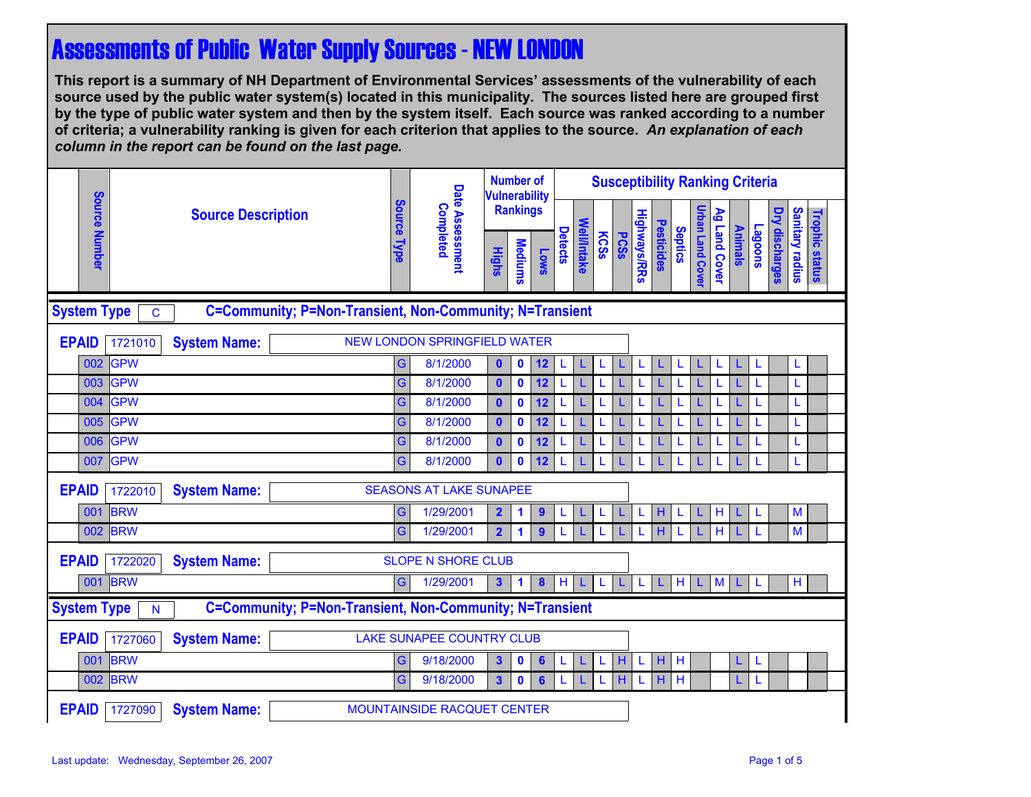## Assessments of Public Water Supply Sources - NEW LONDON

**This report is a summary of NH Department of Environmental Services' assessments of the vulnerability of each source used by the public water system(s) located in this municipality. The sources listed here are grouped first by the type of public water system and then by the system itself. Each source was ranked according to a number of criteria; a vulnerability ranking is given for each criterion that applies to the source.** *An explanation of each column in the report can be found on the last page.* 

|                                                                                                |                                                                    | <b>Source Description</b>                                  |  |                       |                 | <b>Number of</b><br><b>Vulnerability</b><br><b>Rankings</b> |                      |                  |                |             |      |             | <b>Susceptibility Ranking Criteria</b> |            |                |                         |               |                |                |                       |                        |                       |
|------------------------------------------------------------------------------------------------|--------------------------------------------------------------------|------------------------------------------------------------|--|-----------------------|-----------------|-------------------------------------------------------------|----------------------|------------------|----------------|-------------|------|-------------|----------------------------------------|------------|----------------|-------------------------|---------------|----------------|----------------|-----------------------|------------------------|-----------------------|
|                                                                                                | Source Number                                                      |                                                            |  |                       | Completed       |                                                             |                      |                  |                |             |      |             |                                        |            |                |                         |               |                |                |                       |                        |                       |
|                                                                                                |                                                                    |                                                            |  | Source<br><b>Type</b> | Date Assessment | <b>Highs</b>                                                | <b>Mediums</b>       | <b>Lows</b>      | <b>Detects</b> | Well/Intake | KCSS | <b>PCSS</b> | <b>Highways/RRs</b>                    | Pesticides | <b>Septics</b> | <b>Jrban Land Cover</b> | Ag Land Cover | <b>Animals</b> | <b>Lagoons</b> | <b>Dry discharges</b> | <b>Sanitary radius</b> | <b>Trophic status</b> |
| C=Community; P=Non-Transient, Non-Community; N=Transient<br><b>System Type</b><br>$\mathbf C$  |                                                                    |                                                            |  |                       |                 |                                                             |                      |                  |                |             |      |             |                                        |            |                |                         |               |                |                |                       |                        |                       |
| <b>EPAID</b>                                                                                   | 1721010                                                            | <b>NEW LONDON SPRINGFIELD WATER</b><br><b>System Name:</b> |  |                       |                 |                                                             |                      |                  |                |             |      |             |                                        |            |                |                         |               |                |                |                       |                        |                       |
| 002                                                                                            | <b>GPW</b>                                                         |                                                            |  | G                     | 8/1/2000        | $\bullet$                                                   | $\mathbf 0$          | 12               | L              | L           | L    | L           | L                                      | L          | L              | L                       | L             | L.             | L              |                       | L                      |                       |
| 003                                                                                            | <b>GPW</b>                                                         |                                                            |  | G                     | 8/1/2000        | $\mathbf{0}$                                                | $\mathbf 0$          | 12               | L              |             | L    |             |                                        |            |                |                         |               | L.             |                |                       | L                      |                       |
| 004                                                                                            | <b>GPW</b>                                                         |                                                            |  | G                     | 8/1/2000        | $\mathbf{0}$                                                | $\mathbf 0$          | 12               |                |             |      |             |                                        |            |                |                         | L             | L.             |                |                       | L                      |                       |
| 005                                                                                            | GPW                                                                |                                                            |  | G                     | 8/1/2000        | $\mathbf{0}$                                                | $\mathbf 0$          | 12               | L              |             | L    |             |                                        |            | L              |                         | L             | L.             |                |                       | L                      |                       |
| 006                                                                                            | <b>GPW</b>                                                         |                                                            |  | G                     | 8/1/2000        | $\bullet$                                                   | $\mathbf 0$          | 12               | L              |             |      |             |                                        |            | L              |                         | L             | L              |                |                       | L                      |                       |
| 007                                                                                            | GPW                                                                |                                                            |  | G                     | 8/1/2000        | $\mathbf{0}$                                                | $\mathbf 0$          | 12               | L              |             | L    |             |                                        |            | L              |                         | L             | L.             | L              |                       | L                      |                       |
| <b>EPAID</b>                                                                                   | <b>System Name:</b><br><b>SEASONS AT LAKE SUNAPEE</b><br>1722010   |                                                            |  |                       |                 |                                                             |                      |                  |                |             |      |             |                                        |            |                |                         |               |                |                |                       |                        |                       |
| 001                                                                                            | <b>BRW</b>                                                         |                                                            |  | G                     | 1/29/2001       | $\overline{\mathbf{2}}$                                     | 1                    | $\boldsymbol{9}$ | L              |             | L    |             | L                                      | н          | L              | L                       | $\mathsf H$   | L.             | L              |                       | M                      |                       |
|                                                                                                | 002 BRW                                                            |                                                            |  | G                     | 1/29/2001       | $\overline{2}$                                              | $\blacktriangleleft$ | $\boldsymbol{9}$ |                |             |      |             |                                        | н          | L              | L                       | H             | L.             | L              |                       | M                      |                       |
| <b>EPAID</b>                                                                                   | 1722020                                                            | <b>System Name:</b><br><b>SLOPE N SHORE CLUB</b>           |  |                       |                 |                                                             |                      |                  |                |             |      |             |                                        |            |                |                         |               |                |                |                       |                        |                       |
|                                                                                                | 001 BRW                                                            |                                                            |  | G                     | 1/29/2001       | $\mathbf{3}$                                                | 1                    | $\boldsymbol{8}$ | H              | L           | L    | L           | L                                      | L          | H              | L                       | $M$           | L.             | L              |                       | H                      |                       |
| C=Community; P=Non-Transient, Non-Community; N=Transient<br><b>System Type</b><br>$\mathsf{N}$ |                                                                    |                                                            |  |                       |                 |                                                             |                      |                  |                |             |      |             |                                        |            |                |                         |               |                |                |                       |                        |                       |
| <b>EPAID</b>                                                                                   | <b>LAKE SUNAPEE COUNTRY CLUB</b><br><b>System Name:</b><br>1727060 |                                                            |  |                       |                 |                                                             |                      |                  |                |             |      |             |                                        |            |                |                         |               |                |                |                       |                        |                       |
| 001                                                                                            | <b>BRW</b>                                                         |                                                            |  | G                     | 9/18/2000       | $\mathbf{3}$                                                | $\mathbf 0$          | $6\phantom{a}$   | L              | L           | L    | Н           | L                                      | н          | H              |                         |               | L.             | L              |                       |                        |                       |
|                                                                                                | 002 BRW                                                            |                                                            |  | G                     | 9/18/2000       | $\mathbf{3}$                                                | $\mathbf 0$          | $6\phantom{1}$   |                |             | L    | H           |                                        | н          | H              |                         |               | L.             | L              |                       |                        |                       |
| <b>EPAID</b>                                                                                   | 1727090                                                            | <b>System Name:</b><br><b>MOUNTAINSIDE RACQUET CENTER</b>  |  |                       |                 |                                                             |                      |                  |                |             |      |             |                                        |            |                |                         |               |                |                |                       |                        |                       |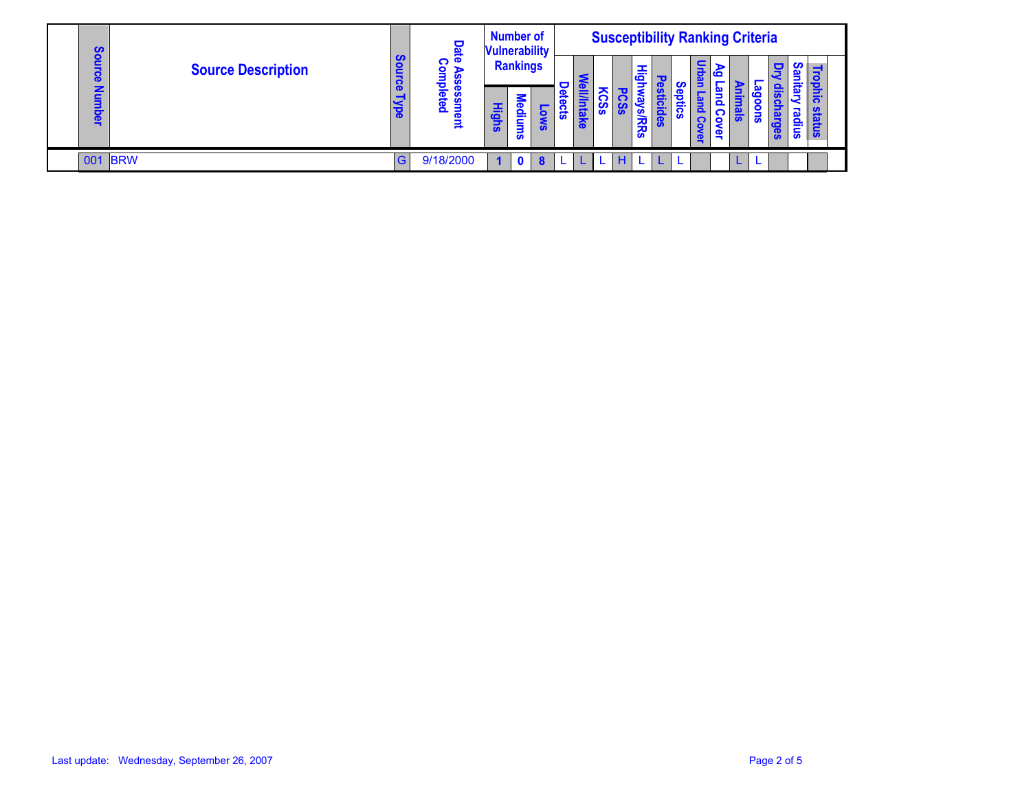|  | cn                      |         |                           |               |                                           | <b>Number of</b><br>Date<br><b>Vulnerability</b> |              |                  | <b>Susceptibility Ranking Criteria</b> |      |     |                |   |  |              |          |                  |             |                        |                 |            |     |
|--|-------------------------|---------|---------------------------|---------------|-------------------------------------------|--------------------------------------------------|--------------|------------------|----------------------------------------|------|-----|----------------|---|--|--------------|----------|------------------|-------------|------------------------|-----------------|------------|-----|
|  | O<br>ი<br>Õ             |         | <b>Source Description</b> | <b>Source</b> | ဂ<br>$\bullet$<br>ъ<br><b>S</b>           | <b>Rankings</b>                                  |              |                  |                                        |      |     | ᆂ<br>$\vec{c}$ |   |  | ಕ            | ⋗<br>Õ   |                  |             | o<br>$\mathbf{\Omega}$ | Ō.<br>mits<br>E | 3<br>ठ     |     |
|  | О<br>$\bar{\mathbf{e}}$ |         |                           | Mpe           | 흥<br>ဖိ<br>ቖ<br>ment<br>$\mathbf{\Omega}$ | <b>Highs</b>                                     | Ξ<br>lediums | SMO <sup>-</sup> | Detects                                | lnta | တ္တ |                | 经 |  | o<br>នី<br>m | $\Omega$ | 恴<br><u>င</u> ္ပ | $rac{1}{s}$ | 'n<br>$rac{1}{2}$      | <u>Guõ</u>      | യ<br>snibs | 릉   |
|  |                         |         |                           |               |                                           |                                                  |              |                  |                                        |      |     |                |   |  |              |          | έş               |             |                        | ၛၟ              |            | န္တ |
|  |                         | 001 BRW |                           | G             | 9/18/2000                                 | 4                                                | $\mathbf 0$  | 8                |                                        |      |     | н              |   |  | L            |          |                  |             |                        |                 |            |     |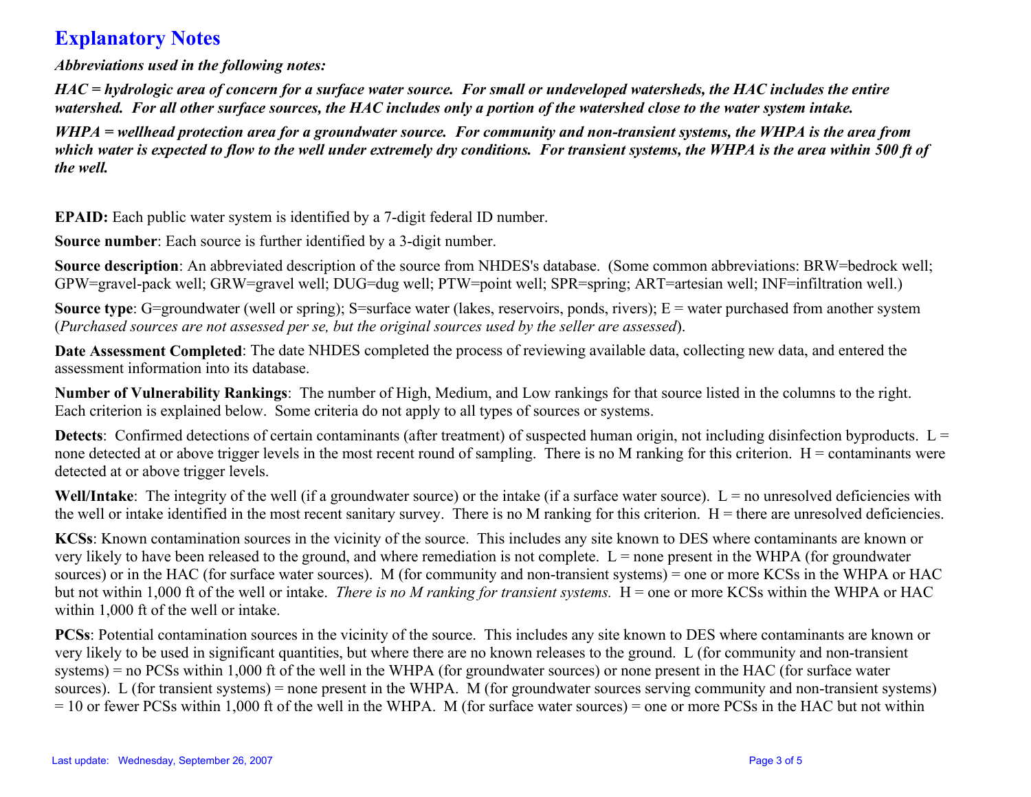## **Explanatory Notes**

*Abbreviations used in the following notes:* 

*HAC = hydrologic area of concern for a surface water source. For small or undeveloped watersheds, the HAC includes the entire watershed. For all other surface sources, the HAC includes only a portion of the watershed close to the water system intake.* 

*WHPA = wellhead protection area for a groundwater source. For community and non-transient systems, the WHPA is the area from*  which water is expected to flow to the well under extremely dry conditions. For transient systems, the WHPA is the area within 500 ft of *the well.* 

**EPAID:** Each public water system is identified by a 7-digit federal ID number.

**Source number**: Each source is further identified by a 3-digit number.

**Source description**: An abbreviated description of the source from NHDES's database. (Some common abbreviations: BRW=bedrock well; GPW=gravel-pack well; GRW=gravel well; DUG=dug well; PTW=point well; SPR=spring; ART=artesian well; INF=infiltration well.)

**Source type**: G=groundwater (well or spring); S=surface water (lakes, reservoirs, ponds, rivers); E = water purchased from another system (*Purchased sources are not assessed per se, but the original sources used by the seller are assessed*).

**Date Assessment Completed**: The date NHDES completed the process of reviewing available data, collecting new data, and entered the assessment information into its database.

**Number of Vulnerability Rankings**: The number of High, Medium, and Low rankings for that source listed in the columns to the right. Each criterion is explained below. Some criteria do not apply to all types of sources or systems.

**Detects**: Confirmed detections of certain contaminants (after treatment) of suspected human origin, not including disinfection byproducts.  $L =$ none detected at or above trigger levels in the most recent round of sampling. There is no M ranking for this criterion.  $H =$  contaminants were detected at or above trigger levels.

**Well/Intake**: The integrity of the well (if a groundwater source) or the intake (if a surface water source). L = no unresolved deficiencies with the well or intake identified in the most recent sanitary survey. There is no M ranking for this criterion.  $H =$  there are unresolved deficiencies.

**KCSs**: Known contamination sources in the vicinity of the source. This includes any site known to DES where contaminants are known or very likely to have been released to the ground, and where remediation is not complete.  $L =$  none present in the WHPA (for groundwater sources) or in the HAC (for surface water sources). M (for community and non-transient systems) = one or more KCSs in the WHPA or HAC but not within 1,000 ft of the well or intake. *There is no M ranking for transient systems*. H = one or more KCSs within the WHPA or HAC within 1,000 ft of the well or intake.

**PCSs**: Potential contamination sources in the vicinity of the source. This includes any site known to DES where contaminants are known or very likely to be used in significant quantities, but where there are no known releases to the ground. L (for community and non-transient systems) = no PCSs within 1,000 ft of the well in the WHPA (for groundwater sources) or none present in the HAC (for surface water sources). L (for transient systems) = none present in the WHPA. M (for groundwater sources serving community and non-transient systems) = 10 or fewer PCSs within 1,000 ft of the well in the WHPA. M (for surface water sources) = one or more PCSs in the HAC but not within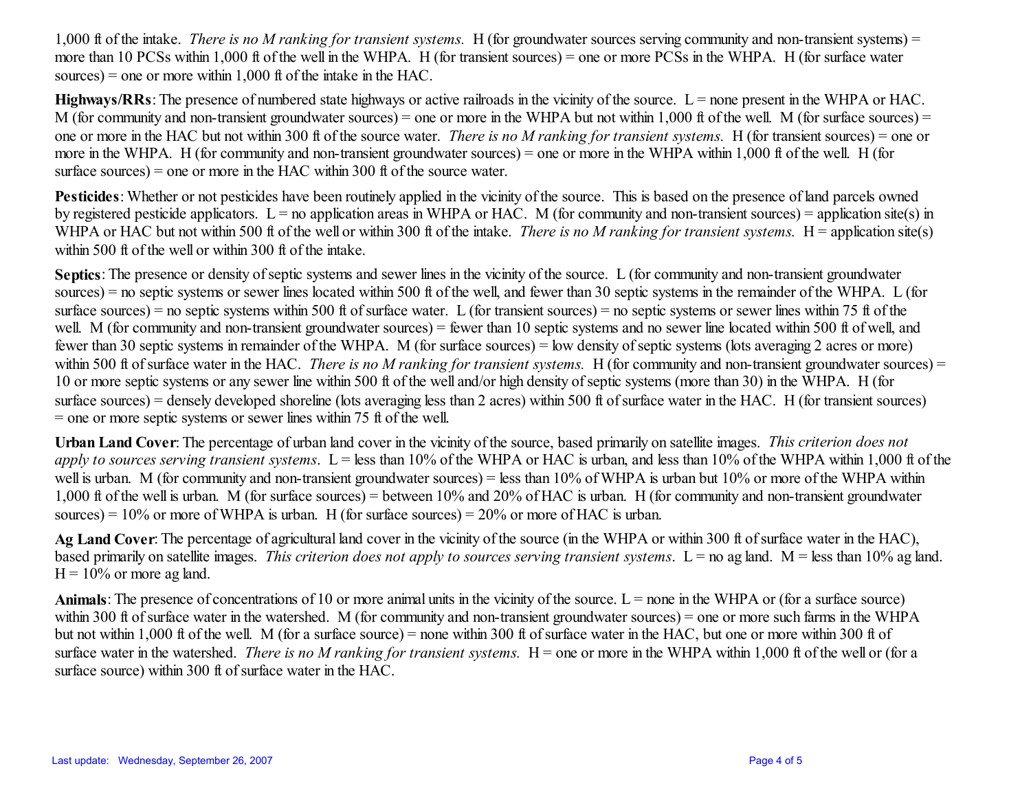1,000 ft of the intake. *There is no M ranking for transient systems.* H (for groundwater sources serving community and non-transient systems) = more than 10 PCSs within 1,000 ft of the well in the WHPA. H (for transient sources) = one or more PCSs in the WHPA. H (for surface water sources) = one or more within  $1,000$  ft of the intake in the HAC.

**Highways/RRs**: The presence of numbered state highways or active railroads in the vicinity of the source.  $L =$  none present in the WHPA or HAC. M (for community and non-transient groundwater sources) = one or more in the WHPA but not within 1,000 ft of the well. M (for surface sources) = one or more in the HAC but not within 300 ft of the source water. *There is no M ranking for transient systems.* H (for transient sources) = one or more in the WHPA. H (for community and non-transient groundwater sources) = one or more in the WHPA within 1,000 ft of the well. H (for surface sources) = one or more in the HAC within 300 ft of the source water.

**Pesticides**: Whether or not pesticides have been routinely applied in the vicinity of the source. This is based on the presence of land parcels owned by registered pesticide applicators.  $L =$  no application areas in WHPA or HAC. M (for community and non-transient sources) = application site(s) in WHPA or HAC but not within 500 ft of the well or within 300 ft of the intake. *There is no M ranking for transient systems*. H = application site(s) within 500 ft of the well or within 300 ft of the intake.

**Septics**: The presence or density of septic systems and sewer lines in the vicinity of the source. L (for community and non-transient groundwater sources) = no septic systems or sewer lines located within 500 ft of the well, and fewer than 30 septic systems in the remainder of the WHPA. L (for surface sources) = no septic systems within 500 ft of surface water. L (for transient sources) = no septic systems or sewer lines within 75 ft of the well. M (for community and non-transient groundwater sources) = fewer than 10 septic systems and no sewer line located within 500 ft of well, and fewer than 30 septic systems in remainder of the WHPA. M (for surface sources) = low density of septic systems (lots averaging 2 acres or more) within 500 ft of surface water in the HAC. *There is no M ranking for transient systems*. H (for community and non-transient groundwater sources) = 10 or more septic systems or any sewer line within 500 ft of the well and/or high density of septic systems (more than 30) in the WHPA. H (for surface sources) = densely developed shoreline (lots averaging less than 2 acres) within 500 ft of surface water in the HAC. H (for transient sources)  $=$  one or more septic systems or sewer lines within 75 ft of the well.

**Urban Land Cover**: The percentage of urban land cover in the vicinity of the source, based primarily on satellite images. *This criterion does not apply to sources serving transient systems*. L = less than 10% of the WHPA or HAC is urban, and less than 10% of the WHPA within 1,000 ft of the well is urban. M (for community and non-transient groundwater sources) = less than 10% of WHPA is urban but 10% or more of the WHPA within 1,000 ft of the well is urban. M (for surface sources) = between 10% and 20% of HAC is urban. H (for community and non-transient groundwater sources) =  $10\%$  or more of WHPA is urban. H (for surface sources) =  $20\%$  or more of HAC is urban.

**Ag Land Cover**: The percentage of agricultural land cover in the vicinity of the source (in the WHPA or within 300 ft of surface water in the HAC), based primarily on satellite images. *This criterion does not apply to sources serving transient systems*.  $L =$  no ag land.  $M =$  less than 10% ag land.  $H = 10\%$  or more ag land.

**Animals**: The presence of concentrations of 10 or more animal units in the vicinity of the source.  $L =$  none in the WHPA or (for a surface source) within 300 ft of surface water in the watershed. M (for community and non-transient groundwater sources) = one or more such farms in the WHPA but not within 1,000 ft of the well. M (for a surface source) = none within 300 ft of surface water in the HAC, but one or more within 300 ft of surface water in the watershed. *There is no M ranking for transient systems*. H = one or more in the WHPA within 1,000 ft of the well or (for a surface source) within 300 ft of surface water in the HAC.